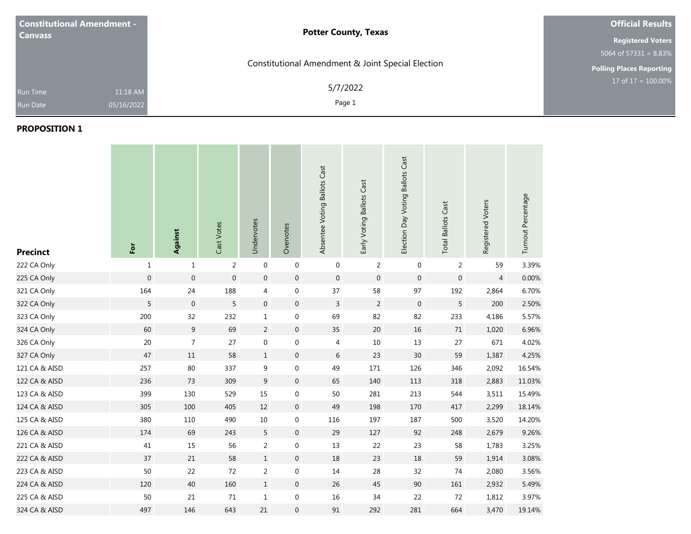| <b>Constitutional Amendment -</b><br><b>Canvass</b> |                        | <b>Potter County, Texas</b>                       | <b>Official Results</b>    |  |  |
|-----------------------------------------------------|------------------------|---------------------------------------------------|----------------------------|--|--|
|                                                     |                        |                                                   | <b>Registered Voters</b>   |  |  |
|                                                     |                        |                                                   | $5064$ of $57331 = 8.83\%$ |  |  |
|                                                     |                        | Constitutional Amendment & Joint Special Election | Polling Places Reporting   |  |  |
| <b>Run Time</b><br><b>Run Date</b>                  | 11:18 AM<br>05/16/2022 | 5/7/2022<br>Page 1                                | $17$ of $17 = 100.00\%$    |  |  |

| <b>Precinct</b> | $\overline{\text{P}}$ | Against          | Cast Votes       | Undervotes     | Overvotes        | Absentee Voting Ballots Cast | Early Voting Ballots Cast | Election Day Voting Ballots Cast | <b>Total Ballots Cast</b> | Registered Voters | Turnout Percentage |
|-----------------|-----------------------|------------------|------------------|----------------|------------------|------------------------------|---------------------------|----------------------------------|---------------------------|-------------------|--------------------|
| 222 CA Only     | $\mathbf{1}$          | $\mathbf{1}$     | $\overline{2}$   | $\mathbf 0$    | $\boldsymbol{0}$ | $\mathbf 0$                  | $\overline{2}$            | $\mathbf 0$                      | $\overline{2}$            | 59                | 3.39%              |
| 225 CA Only     | $\boldsymbol{0}$      | $\boldsymbol{0}$ | $\boldsymbol{0}$ | $\mathbf 0$    | $\boldsymbol{0}$ | $\mathbf 0$                  | $\boldsymbol{0}$          | $\mathbf 0$                      | $\boldsymbol{0}$          | $\overline{4}$    | 0.00%              |
| 321 CA Only     | 164                   | 24               | 188              | 4              | $\boldsymbol{0}$ | 37                           | 58                        | 97                               | 192                       | 2,864             | 6.70%              |
| 322 CA Only     | 5                     | $\boldsymbol{0}$ | 5                | $\mathbf 0$    | $\boldsymbol{0}$ | $\mathsf{3}$                 | $\overline{2}$            | $\,0\,$                          | 5                         | 200               | 2.50%              |
| 323 CA Only     | 200                   | 32               | 232              | $\mathbf{1}$   | $\boldsymbol{0}$ | 69                           | 82                        | 82                               | 233                       | 4,186             | 5.57%              |
| 324 CA Only     | 60                    | 9                | 69               | $\overline{2}$ | $\boldsymbol{0}$ | 35                           | 20                        | 16                               | 71                        | 1,020             | 6.96%              |
| 326 CA Only     | $20\,$                | $\overline{7}$   | 27               | $\mathbf 0$    | $\boldsymbol{0}$ | 4                            | $10\,$                    | 13                               | 27                        | 671               | 4.02%              |
| 327 CA Only     | 47                    | 11               | 58               | $\mathbf{1}$   | $\boldsymbol{0}$ | 6                            | 23                        | 30                               | 59                        | 1,387             | 4.25%              |
| 121 CA & AISD   | 257                   | 80               | 337              | 9              | $\boldsymbol{0}$ | 49                           | 171                       | 126                              | 346                       | 2,092             | 16.54%             |
| 122 CA & AISD   | 236                   | 73               | 309              | 9              | $\mathbf 0$      | 65                           | 140                       | 113                              | 318                       | 2,883             | 11.03%             |
| 123 CA & AISD   | 399                   | 130              | 529              | 15             | $\boldsymbol{0}$ | 50                           | 281                       | 213                              | 544                       | 3,511             | 15.49%             |
| 124 CA & AISD   | 305                   | 100              | 405              | 12             | $\mathbf 0$      | 49                           | 198                       | 170                              | 417                       | 2,299             | 18.14%             |
| 125 CA & AISD   | 380                   | 110              | 490              | 10             | $\boldsymbol{0}$ | 116                          | 197                       | 187                              | 500                       | 3,520             | 14.20%             |
| 126 CA & AISD   | 174                   | 69               | 243              | 5              | $\boldsymbol{0}$ | 29                           | 127                       | 92                               | 248                       | 2,679             | 9.26%              |
| 221 CA & AISD   | $41\,$                | 15               | 56               | $\overline{2}$ | $\boldsymbol{0}$ | $13\,$                       | 22                        | 23                               | 58                        | 1,783             | 3.25%              |
| 222 CA & AISD   | 37                    | 21               | 58               | $\mathbf{1}$   | $\pmb{0}$        | 18                           | 23                        | 18                               | 59                        | 1,914             | 3.08%              |
| 223 CA & AISD   | 50                    | 22               | 72               | $\overline{2}$ | $\boldsymbol{0}$ | 14                           | 28                        | 32                               | 74                        | 2,080             | 3.56%              |
| 224 CA & AISD   | 120                   | 40               | 160              | $1\,$          | $\mathbf 0$      | 26                           | 45                        | 90                               | 161                       | 2,932             | 5.49%              |
| 225 CA & AISD   | 50                    | 21               | 71               | $\mathbf{1}$   | $\boldsymbol{0}$ | 16                           | 34                        | 22                               | 72                        | 1,812             | 3.97%              |
| 324 CA & AISD   | 497                   | 146              | 643              | 21             | $\boldsymbol{0}$ | 91                           | 292                       | 281                              | 664                       | 3,470             | 19.14%             |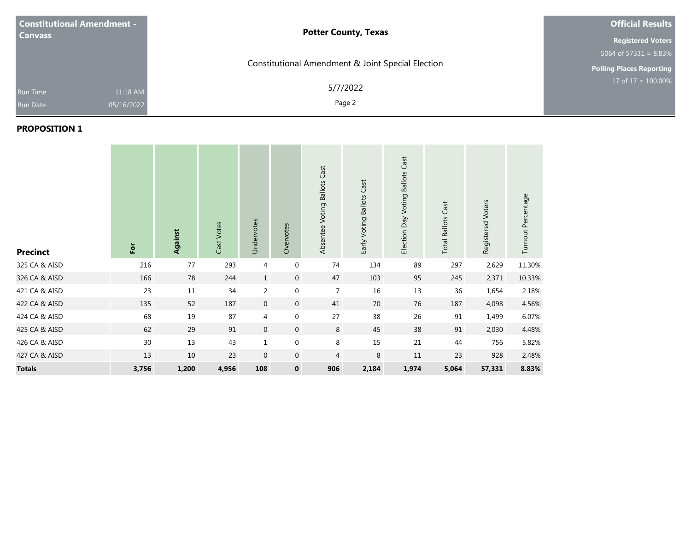| <b>Constitutional Amendment -</b><br><b>Canvass</b> |                        | <b>Potter County, Texas</b>                       | <b>Official Results</b><br><b>Registered Voters</b>                      |  |  |
|-----------------------------------------------------|------------------------|---------------------------------------------------|--------------------------------------------------------------------------|--|--|
|                                                     |                        | Constitutional Amendment & Joint Special Election | $5064$ of $573\overline{31} = 8.83\%$<br><b>Polling Places Reporting</b> |  |  |
| <b>Run Time</b><br><b>Run Date</b>                  | 11:18 AM<br>05/16/2022 | 5/7/2022<br>Page 2                                | 17 of $17 = 100.00\%$                                                    |  |  |

| <b>Precinct</b> | $\overline{\mathsf{P}}$ | Against | Cast Votes | Undervotes     | Overvotes      | Absentee Voting Ballots Cast | Early Voting Ballots Cast | Election Day Voting Ballots Cast | <b>Total Ballots Cast</b> | Registered Voters | Turnout Percentage |
|-----------------|-------------------------|---------|------------|----------------|----------------|------------------------------|---------------------------|----------------------------------|---------------------------|-------------------|--------------------|
| 325 CA & AISD   | 216                     | 77      | 293        | 4              | 0              | 74                           | 134                       | 89                               | 297                       | 2,629             | 11.30%             |
| 326 CA & AISD   | 166                     | 78      | 244        | $\mathbf{1}$   | $\mathbf 0$    | 47                           | 103                       | 95                               | 245                       | 2,371             | 10.33%             |
| 421 CA & AISD   | 23                      | $11\,$  | 34         | $\overline{2}$ | 0              | $\overline{7}$               | 16                        | 13                               | 36                        | 1,654             | 2.18%              |
| 422 CA & AISD   | 135                     | 52      | 187        | $\mathbf 0$    | $\overline{0}$ | 41                           | 70                        | 76                               | 187                       | 4,098             | 4.56%              |
| 424 CA & AISD   | 68                      | 19      | 87         | 4              | 0              | 27                           | 38                        | 26                               | 91                        | 1,499             | 6.07%              |
| 425 CA & AISD   | 62                      | 29      | 91         | $\overline{0}$ | $\mathbf 0$    | $8\phantom{1}$               | 45                        | 38                               | 91                        | 2,030             | 4.48%              |
| 426 CA & AISD   | 30                      | 13      | 43         | $\mathbf 1$    | $\mathbf 0$    | 8                            | 15                        | 21                               | 44                        | 756               | 5.82%              |
| 427 CA & AISD   | 13                      | 10      | 23         | $\mathbf 0$    | 0              | $\overline{4}$               | $\,8\,$                   | 11                               | 23                        | 928               | 2.48%              |
| <b>Totals</b>   | 3,756                   | 1,200   | 4,956      | 108            | $\mathbf 0$    | 906                          | 2,184                     | 1,974                            | 5,064                     | 57,331            | 8.83%              |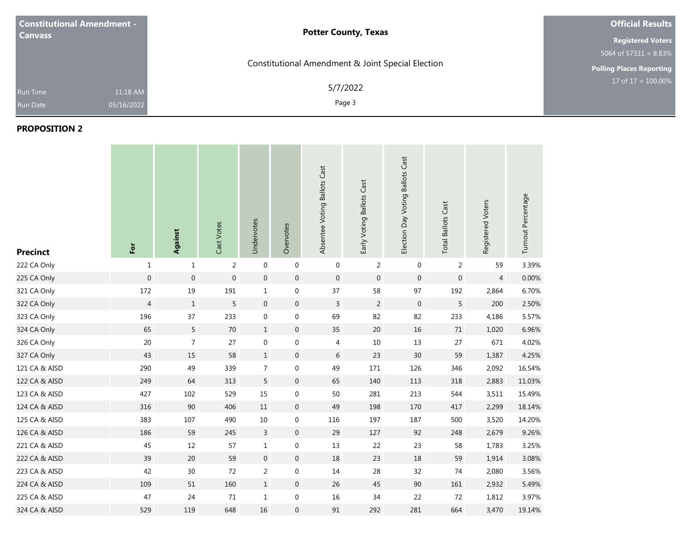| <b>Constitutional Amendment -</b>  | <b>Potter County, Texas</b>                       | <b>Official Results</b>               |
|------------------------------------|---------------------------------------------------|---------------------------------------|
| <b>Canvass</b>                     |                                                   | <b>Registered Voters</b>              |
|                                    |                                                   | $5064$ of $573\overline{31} = 8.83\%$ |
|                                    | Constitutional Amendment & Joint Special Election | Polling Places Reporting              |
| <b>Run Time</b><br><b>Run Date</b> | 5/7/2022<br>11:18 AM<br>Page 3<br>05/16/2022      | $17$ of $17 = 100.00\%$               |

| <b>Precinct</b> | For              | Against          | Cast Votes       | Undervotes       | Overvotes        | Absentee Voting Ballots Cast | Early Voting Ballots Cast | Election Day Voting Ballots Cast | <b>Total Ballots Cast</b> | Registered Voters | Turnout Percentage |
|-----------------|------------------|------------------|------------------|------------------|------------------|------------------------------|---------------------------|----------------------------------|---------------------------|-------------------|--------------------|
| 222 CA Only     | $\mathbf{1}$     | $\mathbf 1$      | 2                | $\mathbf 0$      | $\pmb{0}$        | $\mathbf 0$                  | 2                         | $\mathbf 0$                      | 2                         | 59                | 3.39%              |
| 225 CA Only     | $\boldsymbol{0}$ | $\boldsymbol{0}$ | $\boldsymbol{0}$ | $\boldsymbol{0}$ | $\boldsymbol{0}$ | $\mathbf 0$                  | $\mathbf 0$               | $\boldsymbol{0}$                 | $\boldsymbol{0}$          | $\overline{4}$    | 0.00%              |
| 321 CA Only     | 172              | $19\,$           | 191              | $\mathbf{1}$     | $\boldsymbol{0}$ | 37                           | 58                        | 97                               | 192                       | 2,864             | 6.70%              |
| 322 CA Only     | $\overline{4}$   | $1\,$            | $\sqrt{5}$       | $\boldsymbol{0}$ | $\boldsymbol{0}$ | $\mathsf{3}$                 | $\overline{2}$            | $\overline{0}$                   | $\sqrt{5}$                | 200               | 2.50%              |
| 323 CA Only     | 196              | 37               | 233              | $\mathbf 0$      | $\boldsymbol{0}$ | 69                           | 82                        | 82                               | 233                       | 4,186             | 5.57%              |
| 324 CA Only     | 65               | 5                | 70               | $\,1$            | $\boldsymbol{0}$ | 35                           | $20\,$                    | 16                               | 71                        | 1,020             | 6.96%              |
| 326 CA Only     | 20               | $\overline{7}$   | 27               | $\boldsymbol{0}$ | $\boldsymbol{0}$ | 4                            | 10                        | 13                               | 27                        | 671               | 4.02%              |
| 327 CA Only     | 43               | 15               | 58               | $\mathbf{1}$     | $\boldsymbol{0}$ | $6\,$                        | 23                        | 30                               | 59                        | 1,387             | 4.25%              |
| 121 CA & AISD   | 290              | 49               | 339              | 7                | $\boldsymbol{0}$ | 49                           | 171                       | 126                              | 346                       | 2,092             | 16.54%             |
| 122 CA & AISD   | 249              | 64               | 313              | 5                | $\boldsymbol{0}$ | 65                           | 140                       | 113                              | 318                       | 2,883             | 11.03%             |
| 123 CA & AISD   | 427              | 102              | 529              | 15               | $\boldsymbol{0}$ | 50                           | 281                       | 213                              | 544                       | 3,511             | 15.49%             |
| 124 CA & AISD   | 316              | 90               | 406              | $11\,$           | $\boldsymbol{0}$ | 49                           | 198                       | 170                              | 417                       | 2,299             | 18.14%             |
| 125 CA & AISD   | 383              | 107              | 490              | $10\,$           | $\boldsymbol{0}$ | 116                          | 197                       | 187                              | 500                       | 3,520             | 14.20%             |
| 126 CA & AISD   | 186              | 59               | 245              | $\mathsf{3}$     | $\boldsymbol{0}$ | 29                           | 127                       | 92                               | 248                       | 2,679             | 9.26%              |
| 221 CA & AISD   | 45               | 12               | 57               | $1\,$            | $\boldsymbol{0}$ | $13\,$                       | 22                        | 23                               | 58                        | 1,783             | 3.25%              |
| 222 CA & AISD   | 39               | 20               | 59               | $\boldsymbol{0}$ | $\boldsymbol{0}$ | $18\,$                       | 23                        | 18                               | 59                        | 1,914             | 3.08%              |
| 223 CA & AISD   | 42               | 30               | 72               | $\overline{2}$   | $\boldsymbol{0}$ | 14                           | 28                        | 32                               | 74                        | 2,080             | 3.56%              |
| 224 CA & AISD   | 109              | 51               | 160              | $\mathbf{1}$     | $\boldsymbol{0}$ | 26                           | 45                        | 90                               | 161                       | 2,932             | 5.49%              |
| 225 CA & AISD   | 47               | 24               | $71\,$           | $\mathbf{1}$     | $\boldsymbol{0}$ | $16\,$                       | 34                        | 22                               | 72                        | 1,812             | 3.97%              |
| 324 CA & AISD   | 529              | 119              | 648              | 16               | $\boldsymbol{0}$ | 91                           | 292                       | 281                              | 664                       | 3,470             | 19.14%             |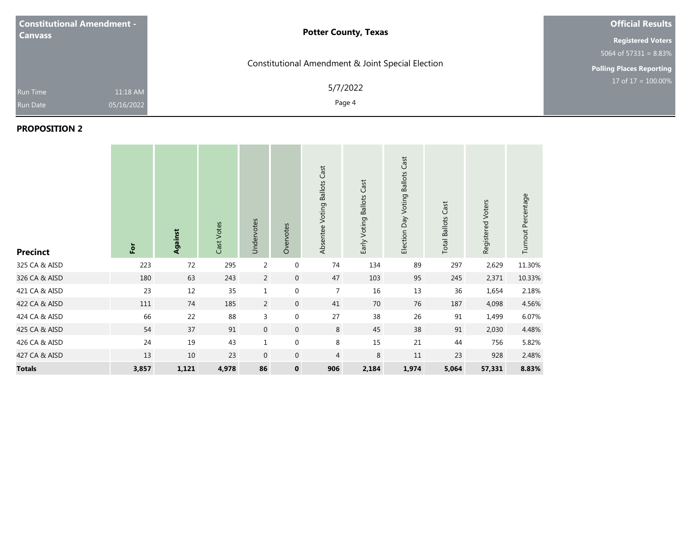| <b>Constitutional Amendment -</b><br><b>Canvass</b> |                        | <b>Potter County, Texas</b>                       | <b>Official Results</b><br><b>Registered Voters</b> |  |  |
|-----------------------------------------------------|------------------------|---------------------------------------------------|-----------------------------------------------------|--|--|
|                                                     |                        | Constitutional Amendment & Joint Special Election | $5064$ of $57331 = 8.83\%$                          |  |  |
|                                                     |                        |                                                   | <b>Polling Places Reporting</b>                     |  |  |
| <b>Run Time</b><br><b>Run Date</b>                  | 11:18 AM<br>05/16/2022 | 5/7/2022<br>Page 4                                | $17 \text{ of } 17 = 100.00\%$                      |  |  |

| <b>Precinct</b> | $\overline{5}$ | Against | Cast Votes | Undervotes     | Overvotes        | Absentee Voting Ballots Cast | Early Voting Ballots Cast | Election Day Voting Ballots Cast | <b>Total Ballots Cast</b> | Registered Voters | Turnout Percentage |
|-----------------|----------------|---------|------------|----------------|------------------|------------------------------|---------------------------|----------------------------------|---------------------------|-------------------|--------------------|
| 325 CA & AISD   | 223            | 72      | 295        | $\overline{2}$ | 0                | 74                           | 134                       | 89                               | 297                       | 2,629             | 11.30%             |
| 326 CA & AISD   | 180            | 63      | 243        | $\overline{2}$ | $\mathbf 0$      | 47                           | 103                       | 95                               | 245                       | 2,371             | 10.33%             |
| 421 CA & AISD   | 23             | 12      | 35         | $\mathbf 1$    | $\boldsymbol{0}$ | $\overline{7}$               | 16                        | 13                               | 36                        | 1,654             | 2.18%              |
| 422 CA & AISD   | 111            | 74      | 185        | $\overline{2}$ | $\overline{0}$   | 41                           | 70                        | 76                               | 187                       | 4,098             | 4.56%              |
| 424 CA & AISD   | 66             | 22      | 88         | $\overline{3}$ | 0                | 27                           | 38                        | 26                               | 91                        | 1,499             | 6.07%              |
| 425 CA & AISD   | 54             | 37      | 91         | $\mathbf{0}$   | $\overline{0}$   | $8\phantom{1}$               | 45                        | 38                               | 91                        | 2,030             | 4.48%              |
| 426 CA & AISD   | 24             | 19      | 43         | $1\,$          | $\mathbf 0$      | $\,8\,$                      | 15                        | 21                               | 44                        | 756               | 5.82%              |
| 427 CA & AISD   | 13             | 10      | 23         | $\mathbf 0$    | $\mathbf 0$      | $\overline{4}$               | $\,8\,$                   | 11                               | 23                        | 928               | 2.48%              |
| <b>Totals</b>   | 3,857          | 1,121   | 4,978      | 86             | $\mathbf 0$      | 906                          | 2,184                     | 1,974                            | 5,064                     | 57,331            | 8.83%              |